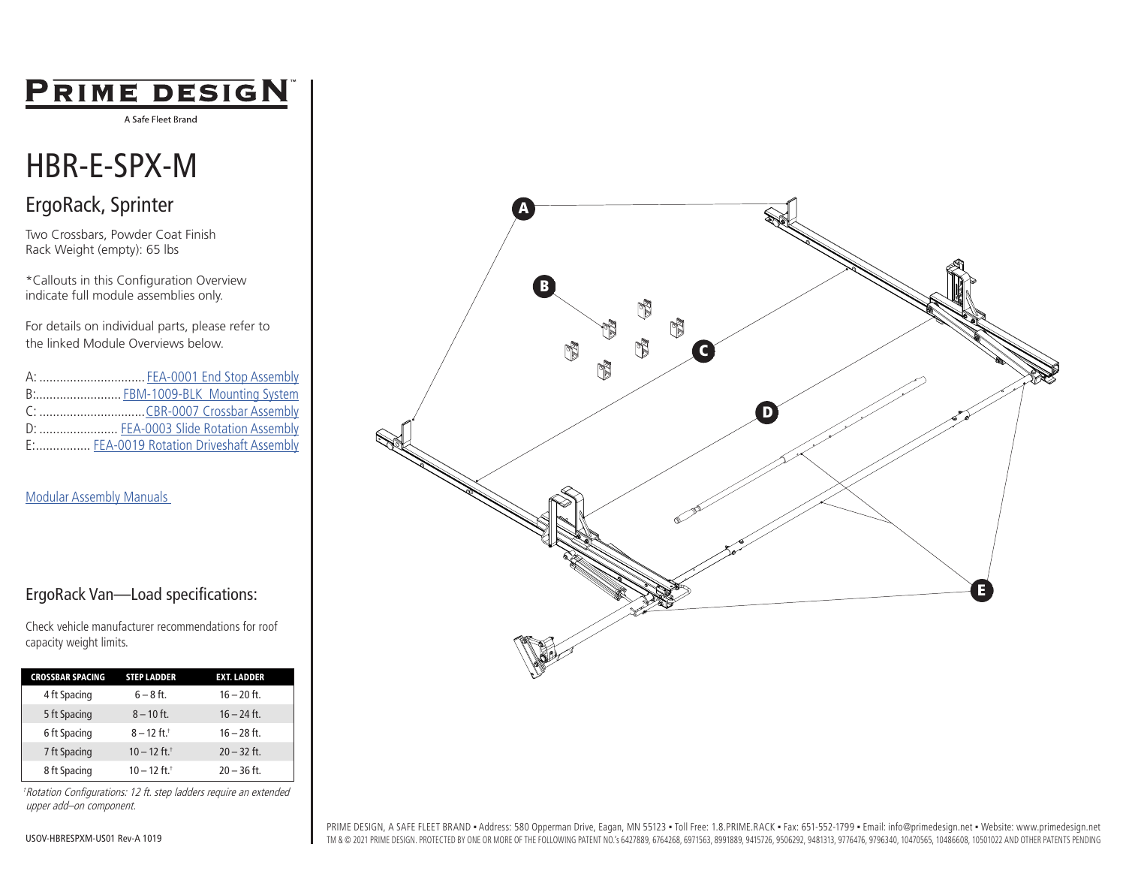# **PRIME DESIGN**

A Safe Fleet Brand

# HBR-E-SPX-M

### ErgoRack, Sprinter

Two Crossbars, Powder Coat Finish Rack Weight (empty): 65 lbs

\*Callouts in this Configuration Overview indicate full module assemblies only.

For details on individual parts, please refer to the linked Module Overviews below.

A: ............................... [FEA-0001 End Stop Assembly](https://www.primedesign.net/?wpdmdl=7123) B:......................... [FBM-1009-BLK Mounting System](https://www.primedesign.net/?wpdmdl=13940) C: ...............................[CBR-0007 Crossbar](https://www.primedesign.net/?wpdmdl=7039) Assembly D: ........................... [FEA-0003 Slide Rotation Assembly](https://www.primedesign.net/?wpdmdl=7133) E:................ [FEA-0019 Rotation Driveshaft Assembly](https://www.primedesign.net/?wpdmdl=7155)

#### [Modular Assembly Manuals](https://www.primedesign.net/document-library/#modular-assembly-manuals-tab)

#### ErgoRack Van—Load specifications:

Check vehicle manufacturer recommendations for roof capacity weight limits.

| <b>CROSSBAR SPACING</b> | <b>STEP LADDER</b>         | <b>EXT. LADDER</b> |  |
|-------------------------|----------------------------|--------------------|--|
| 4 ft Spacing            | $6 - 8$ ft.                | $16 - 20$ ft.      |  |
| 5 ft Spacing            | $8 - 10$ ft.               | $16 - 24$ ft.      |  |
| 6 ft Spacing            | $8 - 12$ ft. <sup>+</sup>  | $16 - 28$ ft.      |  |
| 7 ft Spacing            | $10 - 12$ ft. <sup>†</sup> | $20 - 32$ ft.      |  |
| 8 ft Spacing            | $10 - 12$ ft. <sup>+</sup> | $20 - 36$ ft.      |  |

†Rotation Configurations: 12 ft. step ladders require an extended upper add–on component.